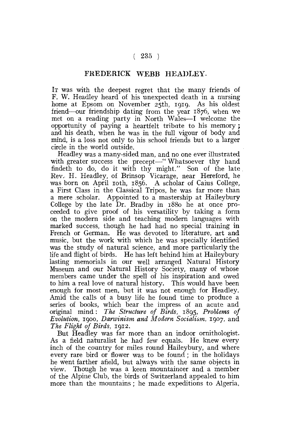## $(235)$

## FREDERICK WEBB HEADLEY.

IT was with the deepest regret that the many friends of F. W. Headley heard of his unexpected death in a nursing home at Epsom on November 25th, 1919. As his oldest friend'—our friendship dating from the year 1876, when we met on a reading party in North Wales—I welcome the opportunity of paying a heartfelt tribute to his memory ; and his death, when he was in the full vigour of body and mind, is a loss not only to his school friends but to a larger circle in the world outside.

Headley was a many-sided man, and no one ever illustrated with greater success the precept—" Whatsoever thy hand findeth to do, do it with thy might." Son of the late Rev. H. Headley, of Brinsop Vicarage, near Hereford, he was born on April 10th, 1856. A scholar of Caius College, a First Class in the Classical Tripos, he was far more than a mere scholar. Appointed to a mastership at Haileybury College by the late Dr. Bradby in 1880 he at once proceeded to give proof of his versatility by taking a form on the modern side and teaching modern languages with marked success, though he had had no special training in French or German, He was devoted to literature, art and music, but the work with which he was specially identified was the study of natural science, and more particularly the life and flight of birds. He has left behind him at Haileybury lasting memorials in our well arranged Natural History Museum and our Natural History Society, many of whose members came under the spell of his inspiration and owed to him a real love of natural history. This would have been enough for most men, but it was not enough for Headley. Amid the calls of a busy life he found time to produce a series of books, which bear the impress of an acute and original mind : *The Structure of Birds,* 1895, *Problems of Evolution,* 1900, *Darwinism and Modern Socialism,* 1907, and *The Flight of Birds,* 1912.

But Headley was far more than an indoor ornithologist. As a field naturalist he had few equals. He knew every inch of the country for miles round Haileybury, and where every rare bird or flower was to be found ; in the holidays he went farther afield, but always with the same objects in view. Though he was a keen mountaineer and a member of the Alpine Club, the birds of Switzerland appealed to him more than the mountains; he made expeditions to Algeria,